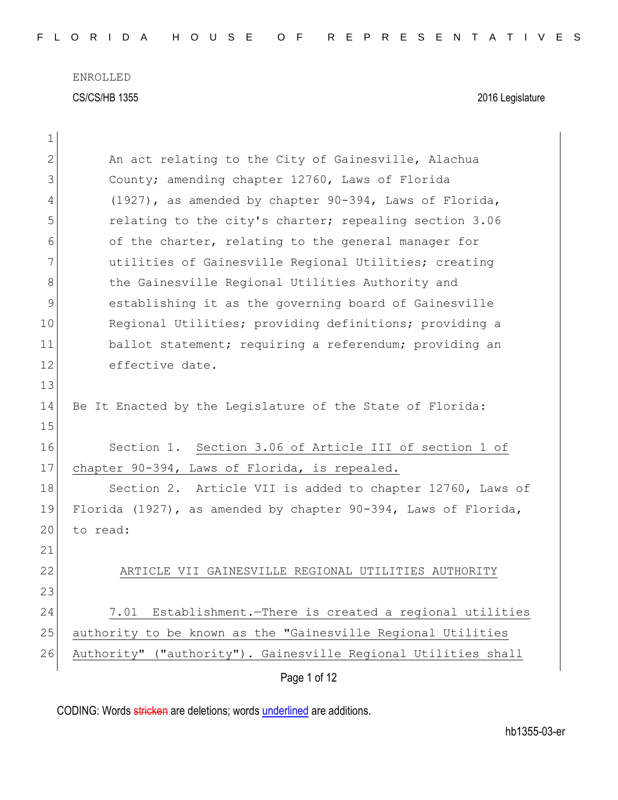| $\mathbf 1$  |                                                                |
|--------------|----------------------------------------------------------------|
| $\mathbf{2}$ | An act relating to the City of Gainesville, Alachua            |
| 3            | County; amending chapter 12760, Laws of Florida                |
| 4            | (1927), as amended by chapter 90-394, Laws of Florida,         |
| 5            | relating to the city's charter; repealing section 3.06         |
| 6            | of the charter, relating to the general manager for            |
| 7            | utilities of Gainesville Regional Utilities; creating          |
| 8            | the Gainesville Regional Utilities Authority and               |
| 9            | establishing it as the governing board of Gainesville          |
| 10           | Regional Utilities; providing definitions; providing a         |
| 11           | ballot statement; requiring a referendum; providing an         |
| 12           | effective date.                                                |
| 13           |                                                                |
| 14           | Be It Enacted by the Legislature of the State of Florida:      |
| 15           |                                                                |
| 16           | Section 1. Section 3.06 of Article III of section 1 of         |
| 17           | chapter 90-394, Laws of Florida, is repealed.                  |
| 18           | Section 2. Article VII is added to chapter 12760, Laws of      |
| 19           | Florida (1927), as amended by chapter 90-394, Laws of Florida, |
| 20           | to read:                                                       |
| 21           |                                                                |
| 22           | ARTICLE VII GAINESVILLE REGIONAL UTILITIES AUTHORITY           |
| 23           |                                                                |
| 24           | Establishment.-There is created a regional utilities<br>7.01   |
| 25           | authority to be known as the "Gainesville Regional Utilities   |
| 26           | Authority" ("authority"). Gainesville Regional Utilities shall |
|              | Page 1 of 12                                                   |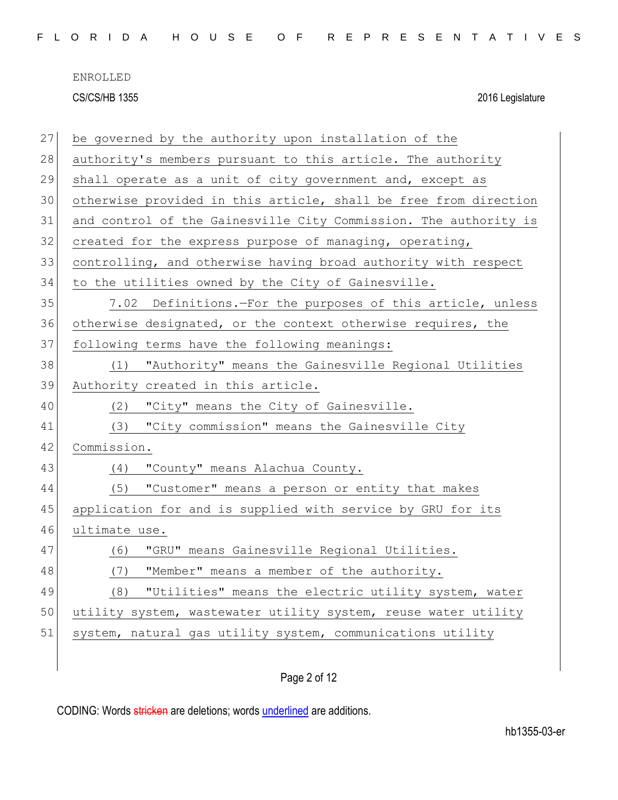|  |  |  | FLORIDA HOUSE OF REPRESENTATIVES |  |  |  |  |  |  |  |  |  |  |  |  |
|--|--|--|----------------------------------|--|--|--|--|--|--|--|--|--|--|--|--|
|  |  |  |                                  |  |  |  |  |  |  |  |  |  |  |  |  |

| 27 | be governed by the authority upon installation of the            |
|----|------------------------------------------------------------------|
| 28 | authority's members pursuant to this article. The authority      |
| 29 | shall operate as a unit of city government and, except as        |
| 30 | otherwise provided in this article, shall be free from direction |
| 31 | and control of the Gainesville City Commission. The authority is |
| 32 | created for the express purpose of managing, operating,          |
| 33 | controlling, and otherwise having broad authority with respect   |
| 34 | to the utilities owned by the City of Gainesville.               |
| 35 | 7.02 Definitions.-For the purposes of this article, unless       |
| 36 | otherwise designated, or the context otherwise requires, the     |
| 37 | following terms have the following meanings:                     |
| 38 | "Authority" means the Gainesville Regional Utilities<br>(1)      |
| 39 | Authority created in this article.                               |
| 40 | "City" means the City of Gainesville.<br>(2)                     |
| 41 | "City commission" means the Gainesville City<br>(3)              |
| 42 | Commission.                                                      |
| 43 | "County" means Alachua County.<br>(4)                            |
| 44 | "Customer" means a person or entity that makes<br>(5)            |
| 45 | application for and is supplied with service by GRU for its      |
| 46 | ultimate use.                                                    |
| 47 | "GRU" means Gainesville Regional Utilities.<br>(6)               |
| 48 | "Member" means a member of the authority.<br>(7)                 |
| 49 | "Utilities" means the electric utility system, water<br>(8)      |
| 50 | utility system, wastewater utility system, reuse water utility   |
| 51 | system, natural gas utility system, communications utility       |
|    |                                                                  |
|    |                                                                  |

# Page 2 of 12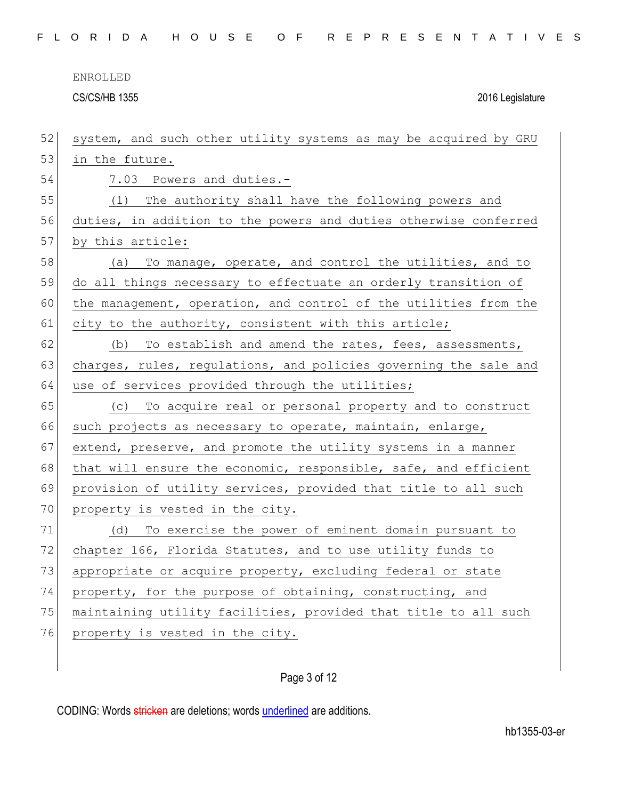ENROLLED

CS/CS/HB 1355 2016 Legislature

| 52 | system, and such other utility systems as may be acquired by GRU |
|----|------------------------------------------------------------------|
| 53 | in the future.                                                   |
| 54 | 7.03 Powers and duties.-                                         |
| 55 | The authority shall have the following powers and<br>(1)         |
| 56 | duties, in addition to the powers and duties otherwise conferred |
| 57 | by this article:                                                 |
| 58 | To manage, operate, and control the utilities, and to<br>(a)     |
| 59 | do all things necessary to effectuate an orderly transition of   |
| 60 | the management, operation, and control of the utilities from the |
| 61 | city to the authority, consistent with this article;             |
| 62 | To establish and amend the rates, fees, assessments,<br>(b)      |
| 63 | charges, rules, regulations, and policies governing the sale and |
| 64 | use of services provided through the utilities;                  |
| 65 | (c) To acquire real or personal property and to construct        |
| 66 | such projects as necessary to operate, maintain, enlarge,        |
| 67 | extend, preserve, and promote the utility systems in a manner    |
| 68 | that will ensure the economic, responsible, safe, and efficient  |
| 69 | provision of utility services, provided that title to all such   |
| 70 | property is vested in the city.                                  |
| 71 | To exercise the power of eminent domain pursuant to<br>(d)       |
| 72 | chapter 166, Florida Statutes, and to use utility funds to       |
| 73 | appropriate or acquire property, excluding federal or state      |
| 74 | property, for the purpose of obtaining, constructing, and        |
| 75 | maintaining utility facilities, provided that title to all such  |
| 76 | property is vested in the city.                                  |
|    |                                                                  |

## Page 3 of 12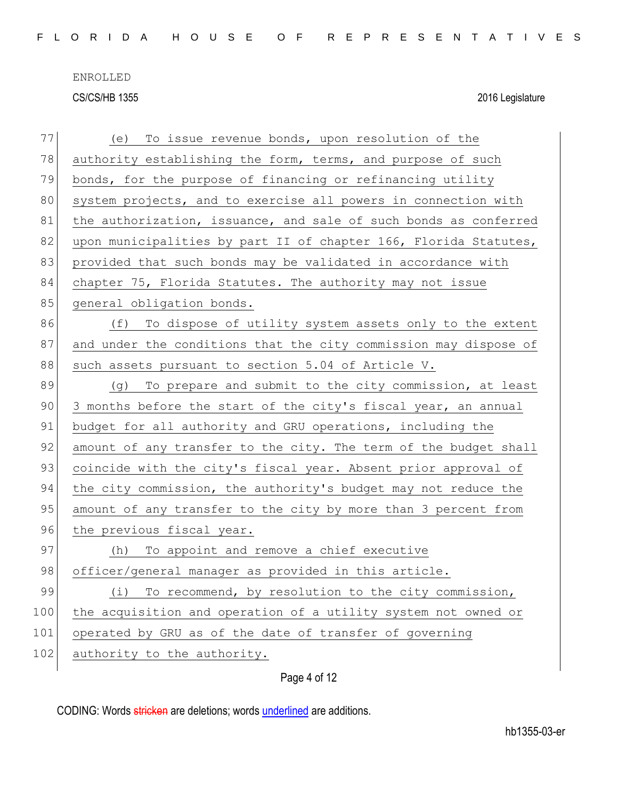| 77  | To issue revenue bonds, upon resolution of the<br>(e)            |
|-----|------------------------------------------------------------------|
| 78  | authority establishing the form, terms, and purpose of such      |
| 79  | bonds, for the purpose of financing or refinancing utility       |
| 80  | system projects, and to exercise all powers in connection with   |
| 81  | the authorization, issuance, and sale of such bonds as conferred |
| 82  | upon municipalities by part II of chapter 166, Florida Statutes, |
| 83  | provided that such bonds may be validated in accordance with     |
| 84  | chapter 75, Florida Statutes. The authority may not issue        |
| 85  | general obligation bonds.                                        |
| 86  | To dispose of utility system assets only to the extent<br>(f)    |
| 87  | and under the conditions that the city commission may dispose of |
| 88  | such assets pursuant to section 5.04 of Article V.               |
| 89  | To prepare and submit to the city commission, at least<br>(g)    |
| 90  | 3 months before the start of the city's fiscal year, an annual   |
| 91  | budget for all authority and GRU operations, including the       |
| 92  | amount of any transfer to the city. The term of the budget shall |
| 93  | coincide with the city's fiscal year. Absent prior approval of   |
| 94  | the city commission, the authority's budget may not reduce the   |
| 95  | amount of any transfer to the city by more than 3 percent from   |
| 96  | the previous fiscal year.                                        |
| 97  | To appoint and remove a chief executive<br>(h)                   |
| 98  | officer/general manager as provided in this article.             |
| 99  | To recommend, by resolution to the city commission,<br>(i)       |
| 100 | the acquisition and operation of a utility system not owned or   |
| 101 | operated by GRU as of the date of transfer of governing          |
| 102 | authority to the authority.                                      |
|     |                                                                  |

## Page 4 of 12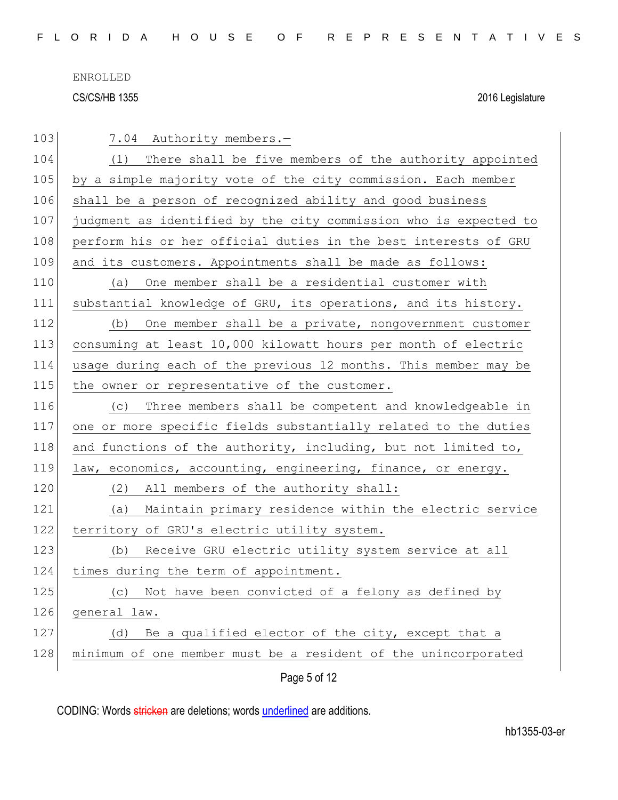| 103 | 7.04 Authority members.-                                         |
|-----|------------------------------------------------------------------|
| 104 | (1) There shall be five members of the authority appointed       |
| 105 | by a simple majority vote of the city commission. Each member    |
| 106 | shall be a person of recognized ability and good business        |
| 107 | judgment as identified by the city commission who is expected to |
| 108 | perform his or her official duties in the best interests of GRU  |
| 109 | and its customers. Appointments shall be made as follows:        |
| 110 | One member shall be a residential customer with<br>(a)           |
| 111 | substantial knowledge of GRU, its operations, and its history.   |
| 112 | One member shall be a private, nongovernment customer<br>(b)     |
| 113 | consuming at least 10,000 kilowatt hours per month of electric   |
| 114 | usage during each of the previous 12 months. This member may be  |
| 115 | the owner or representative of the customer.                     |
| 116 | Three members shall be competent and knowledgeable in<br>(C)     |
| 117 | one or more specific fields substantially related to the duties  |
| 118 | and functions of the authority, including, but not limited to,   |
| 119 | law, economics, accounting, engineering, finance, or energy.     |
| 120 | All members of the authority shall:<br>(2)                       |
| 121 | Maintain primary residence within the electric service<br>(a)    |
| 122 | territory of GRU's electric utility system.                      |
| 123 | Receive GRU electric utility system service at all<br>(b)        |
| 124 | times during the term of appointment.                            |
| 125 | Not have been convicted of a felony as defined by<br>(C)         |
| 126 | general law.                                                     |
| 127 | Be a qualified elector of the city, except that a<br>(d)         |
| 128 | minimum of one member must be a resident of the unincorporated   |
|     | Page 5 of 12                                                     |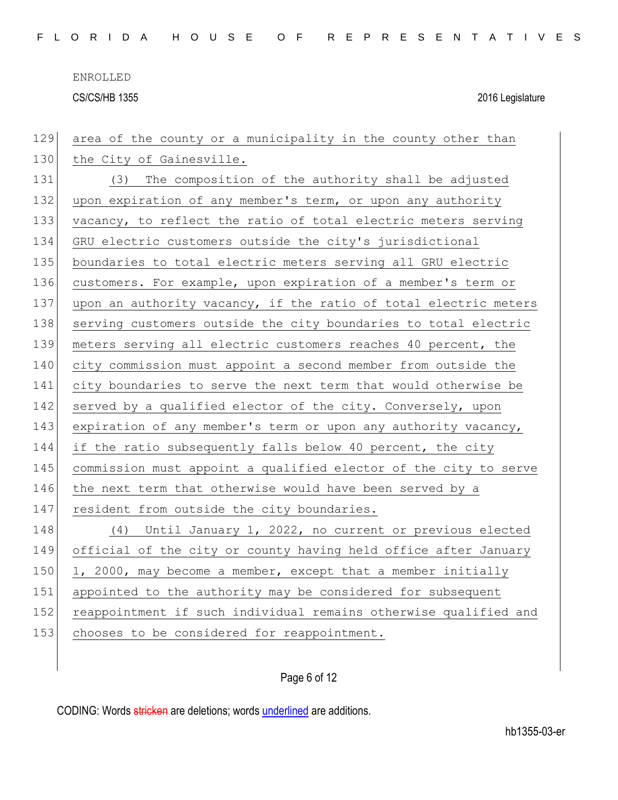| 129 | area of the county or a municipality in the county other than    |
|-----|------------------------------------------------------------------|
| 130 | the City of Gainesville.                                         |
| 131 | (3) The composition of the authority shall be adjusted           |
| 132 | upon expiration of any member's term, or upon any authority      |
| 133 | vacancy, to reflect the ratio of total electric meters serving   |
| 134 | GRU electric customers outside the city's jurisdictional         |
| 135 | boundaries to total electric meters serving all GRU electric     |
| 136 | customers. For example, upon expiration of a member's term or    |
| 137 | upon an authority vacancy, if the ratio of total electric meters |
| 138 | serving customers outside the city boundaries to total electric  |
| 139 | meters serving all electric customers reaches 40 percent, the    |
| 140 | city commission must appoint a second member from outside the    |
| 141 | city boundaries to serve the next term that would otherwise be   |
| 142 | served by a qualified elector of the city. Conversely, upon      |
| 143 | expiration of any member's term or upon any authority vacancy,   |
| 144 | if the ratio subsequently falls below 40 percent, the city       |
| 145 | commission must appoint a qualified elector of the city to serve |
| 146 | the next term that otherwise would have been served by a         |
| 147 | resident from outside the city boundaries.                       |
| 148 | (4) Until January 1, 2022, no current or previous elected        |
| 149 | official of the city or county having held office after January  |
| 150 | 1, 2000, may become a member, except that a member initially     |
| 151 | appointed to the authority may be considered for subsequent      |
| 152 | reappointment if such individual remains otherwise qualified and |
| 153 | chooses to be considered for reappointment.                      |
|     |                                                                  |

## Page 6 of 12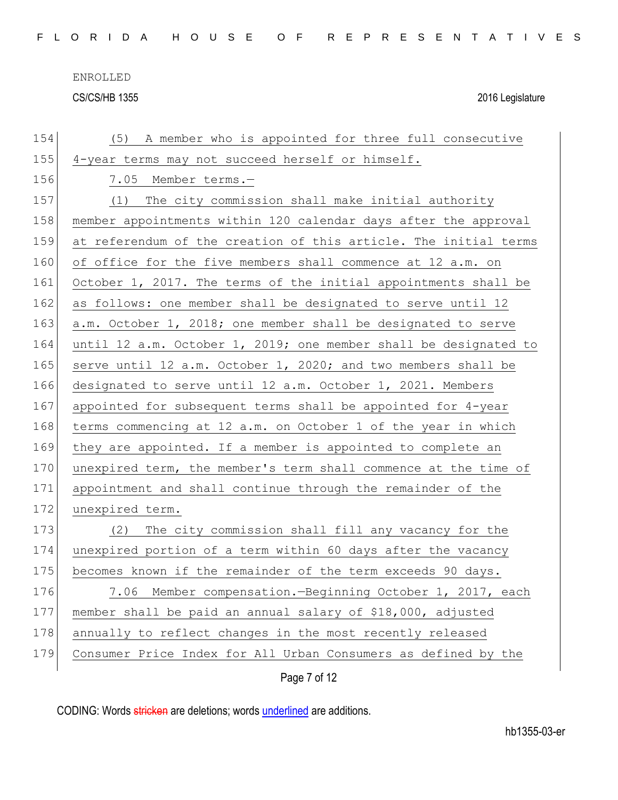| 154 | A member who is appointed for three full consecutive<br>(5)      |
|-----|------------------------------------------------------------------|
| 155 | 4-year terms may not succeed herself or himself.                 |
| 156 | 7.05 Member terms.-                                              |
| 157 | (1) The city commission shall make initial authority             |
| 158 | member appointments within 120 calendar days after the approval  |
| 159 | at referendum of the creation of this article. The initial terms |
| 160 | of office for the five members shall commence at 12 a.m. on      |
| 161 | October 1, 2017. The terms of the initial appointments shall be  |
| 162 | as follows: one member shall be designated to serve until 12     |
| 163 | a.m. October 1, 2018; one member shall be designated to serve    |
| 164 | until 12 a.m. October 1, 2019; one member shall be designated to |
| 165 | serve until 12 a.m. October 1, 2020; and two members shall be    |
| 166 | designated to serve until 12 a.m. October 1, 2021. Members       |
| 167 | appointed for subsequent terms shall be appointed for 4-year     |
| 168 | terms commencing at 12 a.m. on October 1 of the year in which    |
| 169 | they are appointed. If a member is appointed to complete an      |
| 170 | unexpired term, the member's term shall commence at the time of  |
| 171 | appointment and shall continue through the remainder of the      |
| 172 | unexpired term.                                                  |
| 173 | The city commission shall fill any vacancy for the<br>(2)        |
| 174 | unexpired portion of a term within 60 days after the vacancy     |
| 175 | becomes known if the remainder of the term exceeds 90 days.      |
| 176 | Member compensation. - Beginning October 1, 2017, each<br>7.06   |
| 177 | member shall be paid an annual salary of \$18,000, adjusted      |
| 178 | annually to reflect changes in the most recently released        |
| 179 | Consumer Price Index for All Urban Consumers as defined by the   |
|     | Page 7 of 12                                                     |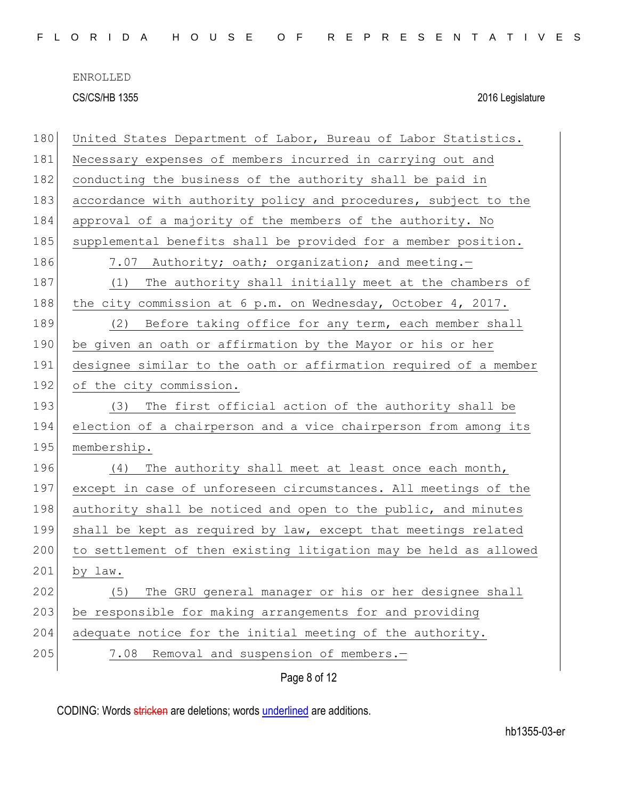| 180 | United States Department of Labor, Bureau of Labor Statistics.   |
|-----|------------------------------------------------------------------|
| 181 | Necessary expenses of members incurred in carrying out and       |
| 182 | conducting the business of the authority shall be paid in        |
| 183 | accordance with authority policy and procedures, subject to the  |
| 184 | approval of a majority of the members of the authority. No       |
| 185 | supplemental benefits shall be provided for a member position.   |
| 186 | 7.07 Authority; oath; organization; and meeting.-                |
| 187 | (1) The authority shall initially meet at the chambers of        |
| 188 | the city commission at 6 p.m. on Wednesday, October 4, 2017.     |
| 189 | Before taking office for any term, each member shall<br>(2)      |
| 190 | be given an oath or affirmation by the Mayor or his or her       |
| 191 | designee similar to the oath or affirmation required of a member |
| 192 | of the city commission.                                          |
| 193 | (3) The first official action of the authority shall be          |
| 194 | election of a chairperson and a vice chairperson from among its  |
| 195 | membership.                                                      |
| 196 | The authority shall meet at least once each month,<br>(4)        |
| 197 | except in case of unforeseen circumstances. All meetings of the  |
| 198 | authority shall be noticed and open to the public, and minutes   |
| 199 | shall be kept as required by law, except that meetings related   |
| 200 | to settlement of then existing litigation may be held as allowed |
| 201 | by law.                                                          |
| 202 | The GRU general manager or his or her designee shall<br>(5)      |
| 203 | be responsible for making arrangements for and providing         |
| 204 | adequate notice for the initial meeting of the authority.        |
| 205 | Removal and suspension of members.-<br>7.08                      |
|     | Page 8 of 12                                                     |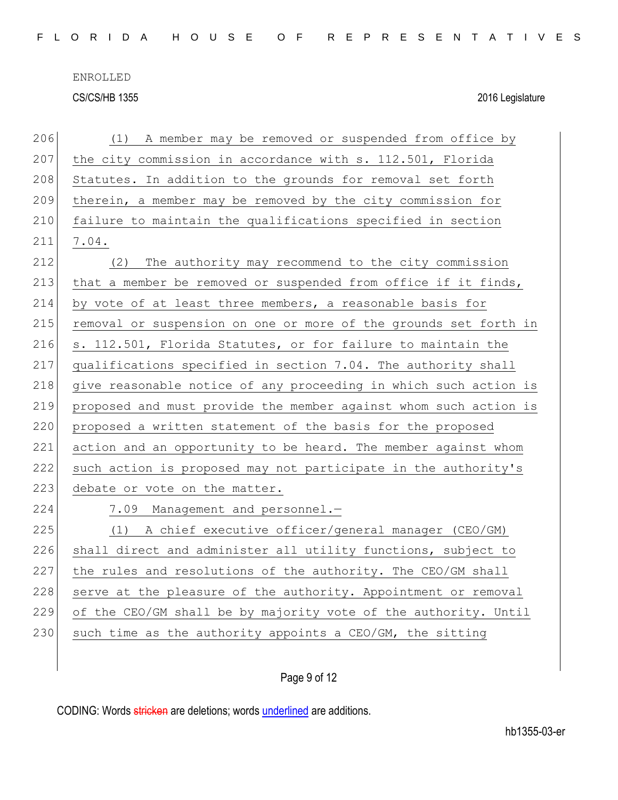| 206 | A member may be removed or suspended from office by<br>(1)       |
|-----|------------------------------------------------------------------|
| 207 | the city commission in accordance with s. 112.501, Florida       |
| 208 | Statutes. In addition to the grounds for removal set forth       |
| 209 | therein, a member may be removed by the city commission for      |
| 210 | failure to maintain the qualifications specified in section      |
| 211 | 7.04.                                                            |
| 212 | The authority may recommend to the city commission<br>(2)        |
| 213 | that a member be removed or suspended from office if it finds,   |
| 214 | by vote of at least three members, a reasonable basis for        |
| 215 | removal or suspension on one or more of the grounds set forth in |
| 216 | s. 112.501, Florida Statutes, or for failure to maintain the     |
| 217 | qualifications specified in section 7.04. The authority shall    |
| 218 | give reasonable notice of any proceeding in which such action is |
| 219 | proposed and must provide the member against whom such action is |
| 220 | proposed a written statement of the basis for the proposed       |
| 221 | action and an opportunity to be heard. The member against whom   |
| 222 | such action is proposed may not participate in the authority's   |
| 223 | debate or vote on the matter.                                    |
| 224 | 7.09 Management and personnel.-                                  |
| 225 | (1) A chief executive officer/general manager (CEO/GM)           |
| 226 | shall direct and administer all utility functions, subject to    |
| 227 | the rules and resolutions of the authority. The CEO/GM shall     |
| 228 | serve at the pleasure of the authority. Appointment or removal   |
| 229 | of the CEO/GM shall be by majority vote of the authority. Until  |
| 230 | such time as the authority appoints a CEO/GM, the sitting        |
|     |                                                                  |
|     |                                                                  |

## Page 9 of 12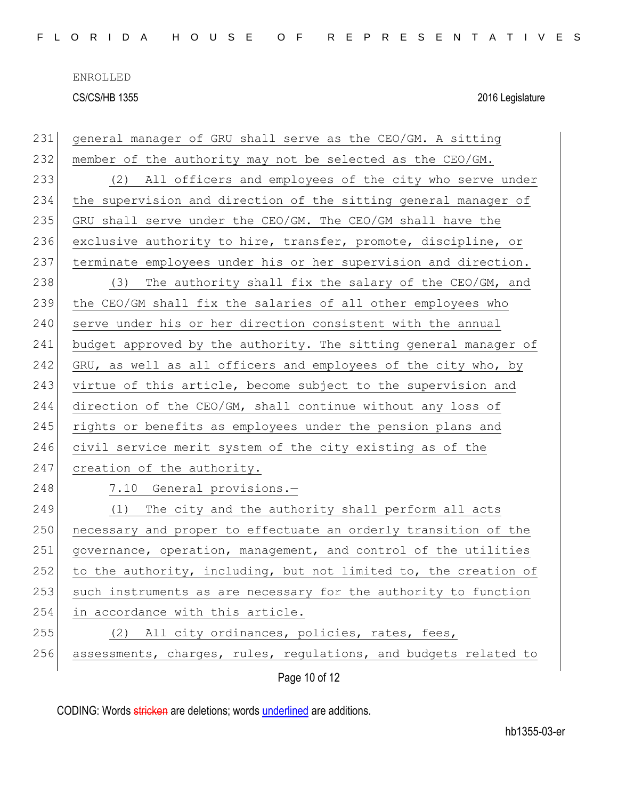| 231 | general manager of GRU shall serve as the CEO/GM. A sitting      |
|-----|------------------------------------------------------------------|
| 232 | member of the authority may not be selected as the CEO/GM.       |
| 233 | (2) All officers and employees of the city who serve under       |
| 234 | the supervision and direction of the sitting general manager of  |
| 235 | GRU shall serve under the CEO/GM. The CEO/GM shall have the      |
| 236 | exclusive authority to hire, transfer, promote, discipline, or   |
| 237 | terminate employees under his or her supervision and direction.  |
| 238 | The authority shall fix the salary of the CEO/GM, and<br>(3)     |
| 239 | the CEO/GM shall fix the salaries of all other employees who     |
| 240 | serve under his or her direction consistent with the annual      |
| 241 | budget approved by the authority. The sitting general manager of |
| 242 | GRU, as well as all officers and employees of the city who, by   |
| 243 | virtue of this article, become subject to the supervision and    |
| 244 | direction of the CEO/GM, shall continue without any loss of      |
| 245 | rights or benefits as employees under the pension plans and      |
| 246 | civil service merit system of the city existing as of the        |
| 247 | creation of the authority.                                       |
| 248 | 7.10 General provisions.-                                        |
| 249 | The city and the authority shall perform all acts<br>(1)         |
| 250 | necessary and proper to effectuate an orderly transition of the  |
| 251 | governance, operation, management, and control of the utilities  |
| 252 | to the authority, including, but not limited to, the creation of |
| 253 | such instruments as are necessary for the authority to function  |
| 254 | in accordance with this article.                                 |
| 255 | All city ordinances, policies, rates, fees,<br>(2)               |
| 256 | assessments, charges, rules, regulations, and budgets related to |
|     | Page 10 of 12                                                    |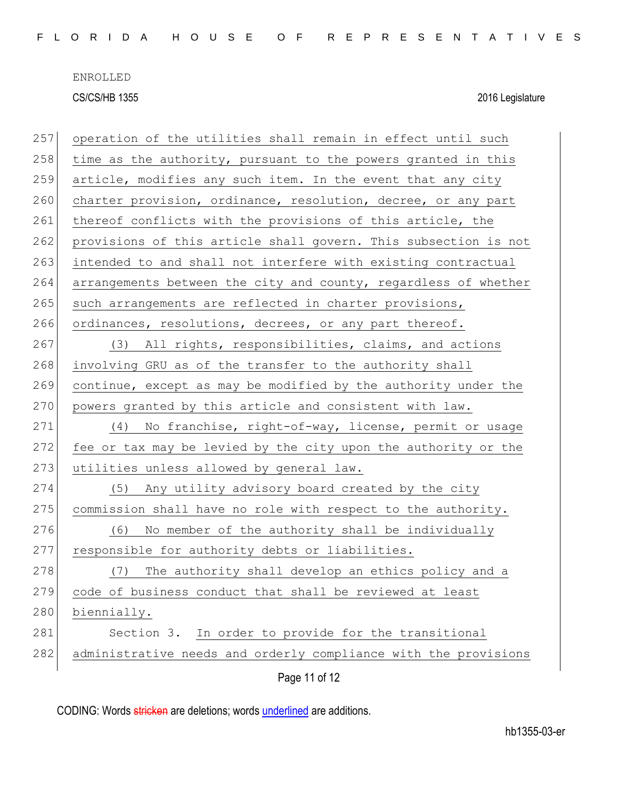| 257 | operation of the utilities shall remain in effect until such    |
|-----|-----------------------------------------------------------------|
| 258 | time as the authority, pursuant to the powers granted in this   |
| 259 | article, modifies any such item. In the event that any city     |
| 260 | charter provision, ordinance, resolution, decree, or any part   |
| 261 | thereof conflicts with the provisions of this article, the      |
| 262 | provisions of this article shall govern. This subsection is not |
| 263 | intended to and shall not interfere with existing contractual   |
| 264 | arrangements between the city and county, regardless of whether |
| 265 | such arrangements are reflected in charter provisions,          |
| 266 | ordinances, resolutions, decrees, or any part thereof.          |
| 267 | (3) All rights, responsibilities, claims, and actions           |
| 268 | involving GRU as of the transfer to the authority shall         |
| 269 | continue, except as may be modified by the authority under the  |
| 270 | powers granted by this article and consistent with law.         |
| 271 | (4) No franchise, right-of-way, license, permit or usage        |
| 272 | fee or tax may be levied by the city upon the authority or the  |
| 273 | utilities unless allowed by general law.                        |
| 274 | (5) Any utility advisory board created by the city              |
| 275 | commission shall have no role with respect to the authority.    |
| 276 | No member of the authority shall be individually<br>(6)         |
| 277 | responsible for authority debts or liabilities.                 |
| 278 | The authority shall develop an ethics policy and a<br>(7)       |
| 279 | code of business conduct that shall be reviewed at least        |
| 280 | biennially.                                                     |
| 281 | Section 3. In order to provide for the transitional             |
| 282 | administrative needs and orderly compliance with the provisions |
|     | Page 11 of 12                                                   |